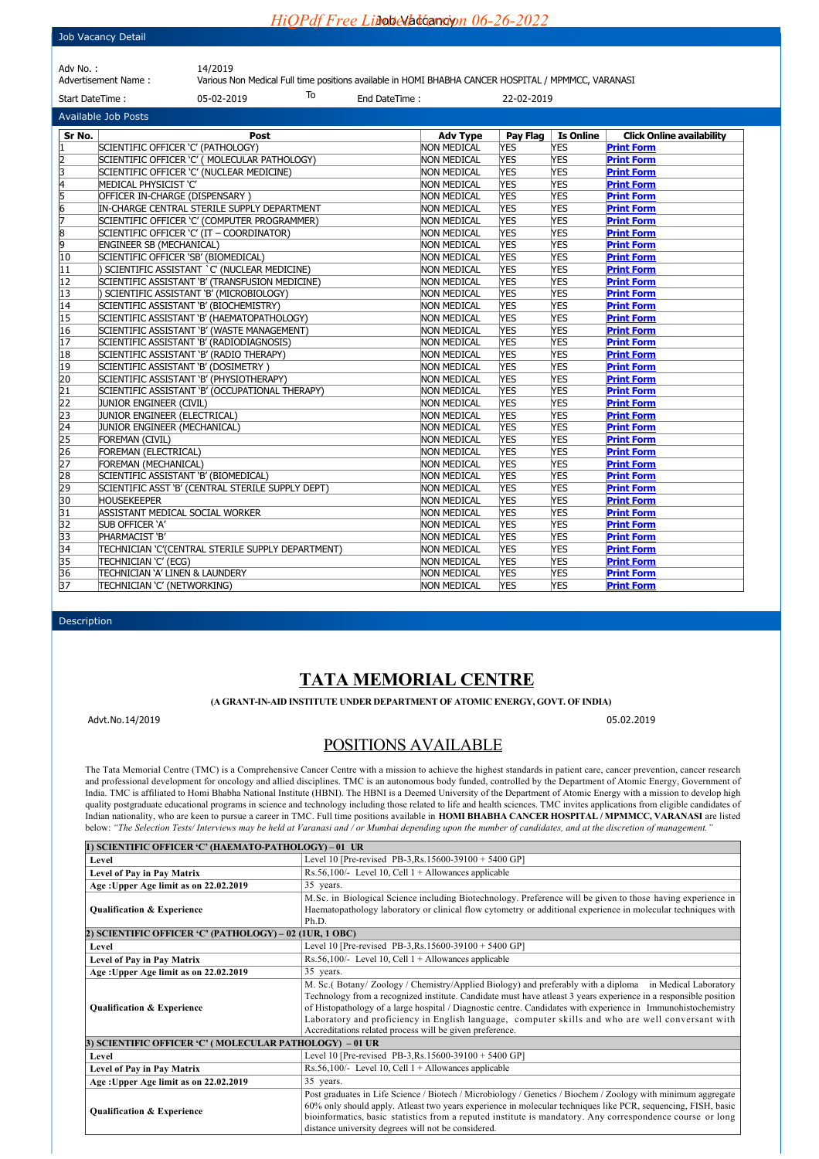## Job Vacancy Detail

*HiQPdf Free Limited Indiansion 06-26-2022* 

| Adv No. :           | 14/2019    |    |                                                                                      |            |
|---------------------|------------|----|--------------------------------------------------------------------------------------|------------|
| Advertisement Name: |            |    | Various Non Medical Full time positions available in HOMI BHABHA CANCER HOSPITAL / N |            |
| Start DateTime:     | 05-02-2019 | To | End DateTime:                                                                        | 22-02-2019 |

able in HOMI BHABHA CANCER HOSPITAL / MPMMCC, VARANASI

| <b>Available Job Posts</b>                                            |                                                   |                    |            |                  |                                  |
|-----------------------------------------------------------------------|---------------------------------------------------|--------------------|------------|------------------|----------------------------------|
| Sr No.                                                                | Post                                              | <b>Adv Type</b>    | Pay Flag   | <b>Is Online</b> | <b>Click Online availability</b> |
| I1                                                                    | SCIENTIFIC OFFICER 'C' (PATHOLOGY)                | <b>NON MEDICAL</b> | <b>YES</b> | YES              | <b>Print Form</b>                |
|                                                                       | SCIENTIFIC OFFICER 'C' ( MOLECULAR PATHOLOGY)     | <b>NON MEDICAL</b> | <b>YES</b> | YES              | <b>Print Form</b>                |
|                                                                       | SCIENTIFIC OFFICER 'C' (NUCLEAR MEDICINE)         | <b>NON MEDICAL</b> | <b>YES</b> | YES              | <b>Print Form</b>                |
|                                                                       | MEDICAL PHYSICIST 'C'                             | <b>NON MEDICAL</b> | <b>YES</b> | YES              | <b>Print Form</b>                |
| $\frac{2}{3}$ $\frac{3}{4}$ $\frac{1}{5}$ $\frac{6}{6}$ $\frac{7}{7}$ | OFFICER IN-CHARGE (DISPENSARY)                    | <b>NON MEDICAL</b> | <b>YES</b> | <b>YES</b>       | <b>Print Form</b>                |
|                                                                       | IN-CHARGE CENTRAL STERILE SUPPLY DEPARTMENT       | <b>NON MEDICAL</b> | <b>YES</b> | <b>YES</b>       | <b>Print Form</b>                |
|                                                                       | SCIENTIFIC OFFICER 'C' (COMPUTER PROGRAMMER)      | <b>NON MEDICAL</b> | <b>YES</b> | <b>YES</b>       | <b>Print Form</b>                |
| $\frac{8}{9}$                                                         | SCIENTIFIC OFFICER 'C' (IT - COORDINATOR)         | <b>NON MEDICAL</b> | <b>YES</b> | YES              | <b>Print Form</b>                |
|                                                                       | <b>ENGINEER SB (MECHANICAL)</b>                   | <b>NON MEDICAL</b> | <b>YES</b> | YES              | <b>Print Form</b>                |
| 10                                                                    | SCIENTIFIC OFFICER 'SB' (BIOMEDICAL)              | <b>NON MEDICAL</b> | <b>YES</b> | YES              | <b>Print Form</b>                |
| 11                                                                    | SCIENTIFIC ASSISTANT `C' (NUCLEAR MEDICINE)       | <b>NON MEDICAL</b> | <b>YES</b> | YES              | <b>Print Form</b>                |
| 12                                                                    | SCIENTIFIC ASSISTANT 'B' (TRANSFUSION MEDICINE)   | <b>NON MEDICAL</b> | <b>YES</b> | <b>YES</b>       | <b>Print Form</b>                |
| 13                                                                    | SCIENTIFIC ASSISTANT 'B' (MICROBIOLOGY)           | <b>NON MEDICAL</b> | <b>YES</b> | YES              | <b>Print Form</b>                |
| 14                                                                    | SCIENTIFIC ASSISTANT 'B' (BIOCHEMISTRY)           | <b>NON MEDICAL</b> | <b>YES</b> | YES              | <b>Print Form</b>                |
| 15                                                                    | SCIENTIFIC ASSISTANT 'B' (HAEMATOPATHOLOGY)       | <b>NON MEDICAL</b> | <b>YES</b> | YES              | <b>Print Form</b>                |
| 16                                                                    | SCIENTIFIC ASSISTANT 'B' (WASTE MANAGEMENT)       | <b>NON MEDICAL</b> | <b>YES</b> | YES              | <b>Print Form</b>                |
| 17                                                                    | SCIENTIFIC ASSISTANT 'B' (RADIODIAGNOSIS)         | <b>NON MEDICAL</b> | <b>YES</b> | YES              | <b>Print Form</b>                |
| 18                                                                    | SCIENTIFIC ASSISTANT 'B' (RADIO THERAPY)          | <b>NON MEDICAL</b> | <b>YES</b> | YES              | <b>Print Form</b>                |
| 19                                                                    | SCIENTIFIC ASSISTANT 'B' (DOSIMETRY)              | <b>NON MEDICAL</b> | <b>YES</b> | <b>YES</b>       | <b>Print Form</b>                |
| 20                                                                    | SCIENTIFIC ASSISTANT 'B' (PHYSIOTHERAPY)          | <b>NON MEDICAL</b> | <b>YES</b> | YES              | <b>Print Form</b>                |
| $\overline{21}$                                                       | SCIENTIFIC ASSISTANT 'B' (OCCUPATIONAL THERAPY)   | <b>NON MEDICAL</b> | <b>YES</b> | <b>YES</b>       | <b>Print Form</b>                |
| $\overline{22}$                                                       | JUNIOR ENGINEER (CIVIL)                           | <b>NON MEDICAL</b> | <b>YES</b> | <b>YES</b>       | <b>Print Form</b>                |
| 23                                                                    | JUNIOR ENGINEER (ELECTRICAL)                      | <b>NON MEDICAL</b> | <b>YES</b> | YES              | <b>Print Form</b>                |
| 24                                                                    | JUNIOR ENGINEER (MECHANICAL)                      | <b>NON MEDICAL</b> | <b>YES</b> | YES              | <b>Print Form</b>                |
|                                                                       | FOREMAN (CIVIL)                                   | <b>NON MEDICAL</b> | <b>YES</b> | YES              | <b>Print Form</b>                |
| $\frac{25}{26}$                                                       | FOREMAN (ELECTRICAL)                              | <b>NON MEDICAL</b> | <b>YES</b> | YES              | <b>Print Form</b>                |
|                                                                       | FOREMAN (MECHANICAL)                              | <b>NON MEDICAL</b> | <b>YES</b> | YES              | <b>Print Form</b>                |
| 28                                                                    | SCIENTIFIC ASSISTANT 'B' (BIOMEDICAL)             | <b>NON MEDICAL</b> | <b>YES</b> | <b>YES</b>       | <b>Print Form</b>                |
| 29                                                                    | SCIENTIFIC ASST 'B' (CENTRAL STERILE SUPPLY DEPT) | <b>NON MEDICAL</b> | <b>YES</b> | YES              | <b>Print Form</b>                |
| 30                                                                    | <b>HOUSEKEEPER</b>                                | <b>NON MEDICAL</b> | <b>YES</b> | YES              | <b>Print Form</b>                |
| 31                                                                    | ASSISTANT MEDICAL SOCIAL WORKER                   | <b>NON MEDICAL</b> | <b>YES</b> | YES              | <b>Print Form</b>                |
| 32                                                                    | SUB OFFICER 'A'                                   | <b>NON MEDICAL</b> | <b>YES</b> | YES              | <b>Print Form</b>                |
| 33                                                                    | PHARMACIST 'B'                                    | <b>NON MEDICAL</b> | <b>YES</b> | <b>YES</b>       | <b>Print Form</b>                |
| 34                                                                    | TECHNICIAN 'C'(CENTRAL STERILE SUPPLY DEPARTMENT) | <b>NON MEDICAL</b> | <b>YES</b> | <b>YES</b>       | <b>Print Form</b>                |
| 35                                                                    | TECHNICIAN 'C' (ECG)                              | <b>NON MEDICAL</b> | <b>YES</b> | <b>YES</b>       | <b>Print Form</b>                |
| 36                                                                    | TECHNICIAN 'A' LINEN & LAUNDERY                   | <b>NON MEDICAL</b> | <b>YES</b> | YES              | <b>Print Form</b>                |
| 37                                                                    | TECHNICIAN 'C' (NETWORKING)                       | <b>NON MEDICAL</b> | <b>YES</b> | YES              | <b>Print Form</b>                |

## Description

# **TATA MEMORIAL CENTRE**

**(A GRANT-IN-AID INSTITUTE UNDER DEPARTMENT OF ATOMIC ENERGY, GOVT. OF INDIA)**

Advt.No.14/2019 05.02.2019

## POSITIONS AVAILABLE

The Tata Memorial Centre (TMC) is a Comprehensive Cancer Centre with a mission to achieve the highest standards in patient care, cancer prevention, cancer research and professional development for oncology and allied disciplines. TMC is an autonomous body funded, controlled by the Department of Atomic Energy, Government of India. TMC is affiliated to Homi Bhabha National Institute (HBNI). The HBNI is a Deemed University of the Department of Atomic Energy with a mission to develop high quality postgraduate educational programs in science and technology including those related to life and health sciences. TMC invites applications from eligible candidates of Indian nationality, who are keen to pursue a career in TMC. Full time positions available in **HOMI BHABHA CANCER HOSPITAL / MPMMCC, VARANASI** are listed below: *"The Selection Tests/ Interviews may be held at Varanasi and / or Mumbai depending upon the number of candidates, and at the discretion of management."*

| 1) SCIENTIFIC OFFICER 'C' (HAEMATO-PATHOLOGY) – 01 UR     |                                                                                                                  |  |
|-----------------------------------------------------------|------------------------------------------------------------------------------------------------------------------|--|
| Level                                                     | Level 10 [Pre-revised PB-3, Rs. 15600-39100 + 5400 GP]                                                           |  |
| Level of Pay in Pay Matrix                                | Rs.56,100/- Level 10, Cell $1 +$ Allowances applicable                                                           |  |
| Age: Upper Age limit as on 22.02.2019                     | 35 years.                                                                                                        |  |
|                                                           | M.Sc. in Biological Science including Biotechnology. Preference will be given to those having experience in      |  |
| <b>Qualification &amp; Experience</b>                     | Haematopathology laboratory or clinical flow cytometry or additional experience in molecular techniques with     |  |
|                                                           | Ph.D.                                                                                                            |  |
| 2) SCIENTIFIC OFFICER 'C' (PATHOLOGY) - 02 (1UR, 1 OBC)   |                                                                                                                  |  |
| Level                                                     | Level 10 [Pre-revised PB-3, Rs. $15600 - 39100 + 5400$ GP]                                                       |  |
| Level of Pay in Pay Matrix                                | $Rs.56,100/-$ Level 10, Cell $1 +$ Allowances applicable                                                         |  |
| Age: Upper Age limit as on 22.02.2019                     | 35 years.                                                                                                        |  |
|                                                           | M. Sc.(Botany/Zoology/Chemistry/Applied Biology) and preferably with a diploma in Medical Laboratory             |  |
|                                                           | Technology from a recognized institute. Candidate must have at east 3 years experience in a responsible position |  |
| <b>Qualification &amp; Experience</b>                     | of Histopathology of a large hospital / Diagnostic centre. Candidates with experience in Immunohistochemistry    |  |
|                                                           | Laboratory and proficiency in English language, computer skills and who are well conversant with                 |  |
|                                                           | Accreditations related process will be given preference.                                                         |  |
| 3) SCIENTIFIC OFFICER 'C' ( MOLECULAR PATHOLOGY)  – 01 UR |                                                                                                                  |  |
| Level                                                     | Level 10 [Pre-revised PB-3, Rs. 15600-39100 + 5400 GP]                                                           |  |
| Level of Pay in Pay Matrix                                | Rs.56,100/- Level 10, Cell $1 +$ Allowances applicable                                                           |  |
| Age: Upper Age limit as on 22.02.2019                     | 35 years.                                                                                                        |  |
|                                                           | Post graduates in Life Science / Biotech / Microbiology / Genetics / Biochem / Zoology with minimum aggregate    |  |
|                                                           | 60% only should apply. Atleast two years experience in molecular techniques like PCR, sequencing, FISH, basic    |  |
| <b>Qualification &amp; Experience</b>                     | bioinformatics, basic statistics from a reputed institute is mandatory. Any correspondence course or long        |  |
|                                                           | distance university degrees will not be considered.                                                              |  |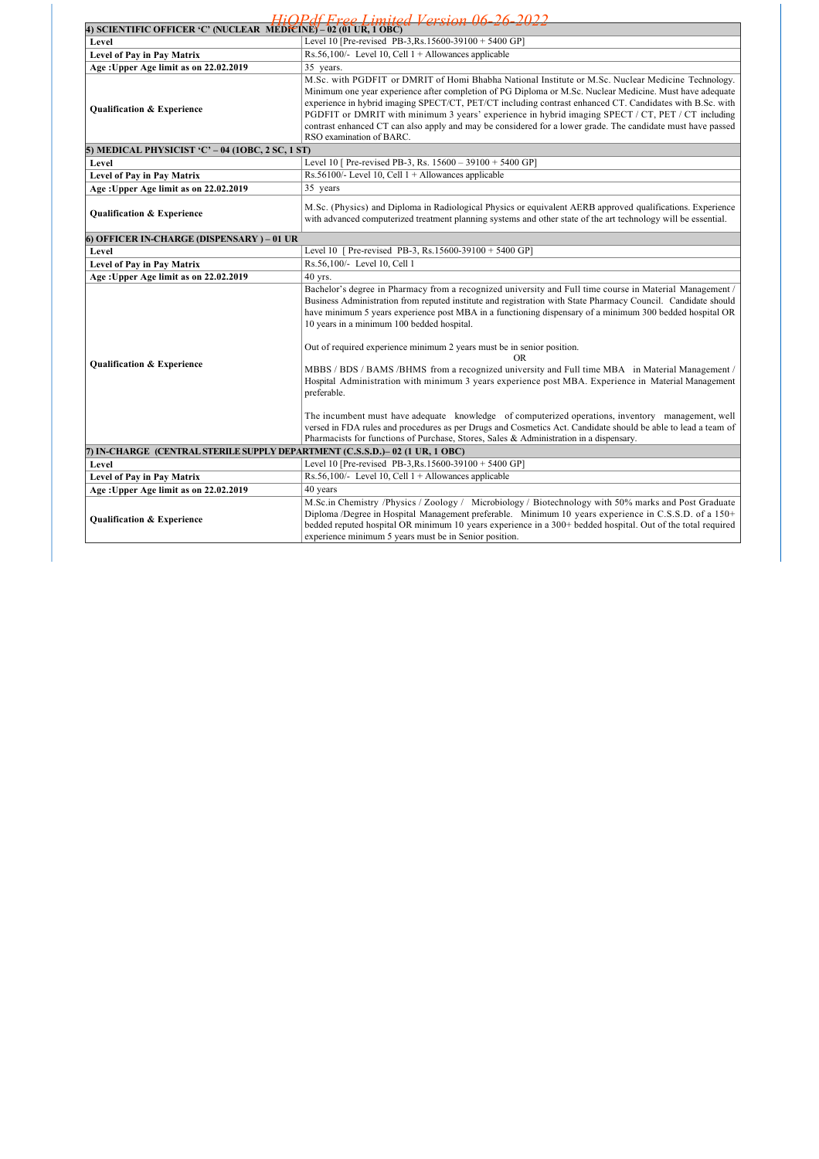| HiOPdf Free Limited Version 06.<br>26<br>วกวว                                |                                                                                                                                                                                                                                                                                                                                                                                                                                                                                                                                                                            |  |  |
|------------------------------------------------------------------------------|----------------------------------------------------------------------------------------------------------------------------------------------------------------------------------------------------------------------------------------------------------------------------------------------------------------------------------------------------------------------------------------------------------------------------------------------------------------------------------------------------------------------------------------------------------------------------|--|--|
| 4) SCIENTIFIC OFFICER 'C' (NUCLEAR  MÉĎICÍNE) – 02 (01 UR, 1 OBC)            |                                                                                                                                                                                                                                                                                                                                                                                                                                                                                                                                                                            |  |  |
| Level                                                                        | Level 10 [Pre-revised PB-3, Rs. 15600-39100 + 5400 GP]                                                                                                                                                                                                                                                                                                                                                                                                                                                                                                                     |  |  |
| Level of Pay in Pay Matrix                                                   | Rs.56,100/- Level 10, Cell $1 +$ Allowances applicable                                                                                                                                                                                                                                                                                                                                                                                                                                                                                                                     |  |  |
| Age: Upper Age limit as on 22.02.2019                                        | 35 years.                                                                                                                                                                                                                                                                                                                                                                                                                                                                                                                                                                  |  |  |
| <b>Qualification &amp; Experience</b>                                        | M.Sc. with PGDFIT or DMRIT of Homi Bhabha National Institute or M.Sc. Nuclear Medicine Technology.<br>Minimum one year experience after completion of PG Diploma or M.Sc. Nuclear Medicine. Must have adequate<br>experience in hybrid imaging SPECT/CT, PET/CT including contrast enhanced CT. Candidates with B.Sc. with<br>PGDFIT or DMRIT with minimum 3 years' experience in hybrid imaging SPECT / CT, PET / CT including<br>contrast enhanced CT can also apply and may be considered for a lower grade. The candidate must have passed<br>RSO examination of BARC. |  |  |
| 5) MEDICAL PHYSICIST 'C' – 04 (10BC, 2 SC, 1 ST)                             |                                                                                                                                                                                                                                                                                                                                                                                                                                                                                                                                                                            |  |  |
| Level                                                                        | Level 10 [ Pre-revised PB-3, Rs. 15600 - 39100 + 5400 GP]                                                                                                                                                                                                                                                                                                                                                                                                                                                                                                                  |  |  |
| Level of Pay in Pay Matrix                                                   | Rs.56100/- Level 10, Cell $1 +$ Allowances applicable                                                                                                                                                                                                                                                                                                                                                                                                                                                                                                                      |  |  |
| Age: Upper Age limit as on 22.02.2019                                        | 35 years                                                                                                                                                                                                                                                                                                                                                                                                                                                                                                                                                                   |  |  |
| <b>Qualification &amp; Experience</b>                                        | M.Sc. (Physics) and Diploma in Radiological Physics or equivalent AERB approved qualifications. Experience<br>with advanced computerized treatment planning systems and other state of the art technology will be essential.                                                                                                                                                                                                                                                                                                                                               |  |  |
| 6) OFFICER IN-CHARGE (DISPENSARY ) – 01 UR                                   |                                                                                                                                                                                                                                                                                                                                                                                                                                                                                                                                                                            |  |  |
| Level                                                                        | Level 10 [ Pre-revised PB-3, Rs.15600-39100 + 5400 GP]                                                                                                                                                                                                                                                                                                                                                                                                                                                                                                                     |  |  |
| Level of Pay in Pay Matrix                                                   | Rs.56,100/- Level 10, Cell 1                                                                                                                                                                                                                                                                                                                                                                                                                                                                                                                                               |  |  |
| Age: Upper Age limit as on 22.02.2019                                        | 40 yrs.                                                                                                                                                                                                                                                                                                                                                                                                                                                                                                                                                                    |  |  |
|                                                                              | Bachelor's degree in Pharmacy from a recognized university and Full time course in Material Management /<br>Business Administration from reputed institute and registration with State Pharmacy Council. Candidate should<br>have minimum 5 years experience post MBA in a functioning dispensary of a minimum 300 bedded hospital OR<br>10 years in a minimum 100 bedded hospital.                                                                                                                                                                                        |  |  |
|                                                                              | Out of required experience minimum 2 years must be in senior position.                                                                                                                                                                                                                                                                                                                                                                                                                                                                                                     |  |  |
| <b>Qualification &amp; Experience</b>                                        | OR.<br>MBBS / BDS / BAMS /BHMS from a recognized university and Full time MBA in Material Management /                                                                                                                                                                                                                                                                                                                                                                                                                                                                     |  |  |
|                                                                              | Hospital Administration with minimum 3 years experience post MBA. Experience in Material Management<br>preferable.                                                                                                                                                                                                                                                                                                                                                                                                                                                         |  |  |
|                                                                              | The incumbent must have adequate knowledge of computerized operations, inventory management, well<br>versed in FDA rules and procedures as per Drugs and Cosmetics Act. Candidate should be able to lead a team of<br>Pharmacists for functions of Purchase, Stores, Sales & Administration in a dispensary.                                                                                                                                                                                                                                                               |  |  |
| 7) IN-CHARGE (CENTRAL STERILE SUPPLY DEPARTMENT (C.S.S.D.)– 02 (1 UR, 1 OBC) |                                                                                                                                                                                                                                                                                                                                                                                                                                                                                                                                                                            |  |  |
| Level                                                                        | Level 10 [Pre-revised PB-3, Rs. 15600-39100 + 5400 GP]                                                                                                                                                                                                                                                                                                                                                                                                                                                                                                                     |  |  |
| Level of Pay in Pay Matrix                                                   | Rs.56,100/- Level 10, Cell $1 +$ Allowances applicable                                                                                                                                                                                                                                                                                                                                                                                                                                                                                                                     |  |  |
| Age: Upper Age limit as on 22.02.2019                                        | 40 years                                                                                                                                                                                                                                                                                                                                                                                                                                                                                                                                                                   |  |  |
| <b>Qualification &amp; Experience</b>                                        | M.Sc.in Chemistry /Physics / Zoology / Microbiology / Biotechnology with 50% marks and Post Graduate<br>Diploma /Degree in Hospital Management preferable. Minimum 10 years experience in C.S.S.D. of a 150+<br>bedded reputed hospital OR minimum 10 years experience in a 300+ bedded hospital. Out of the total required<br>experience minimum 5 years must be in Senior position.                                                                                                                                                                                      |  |  |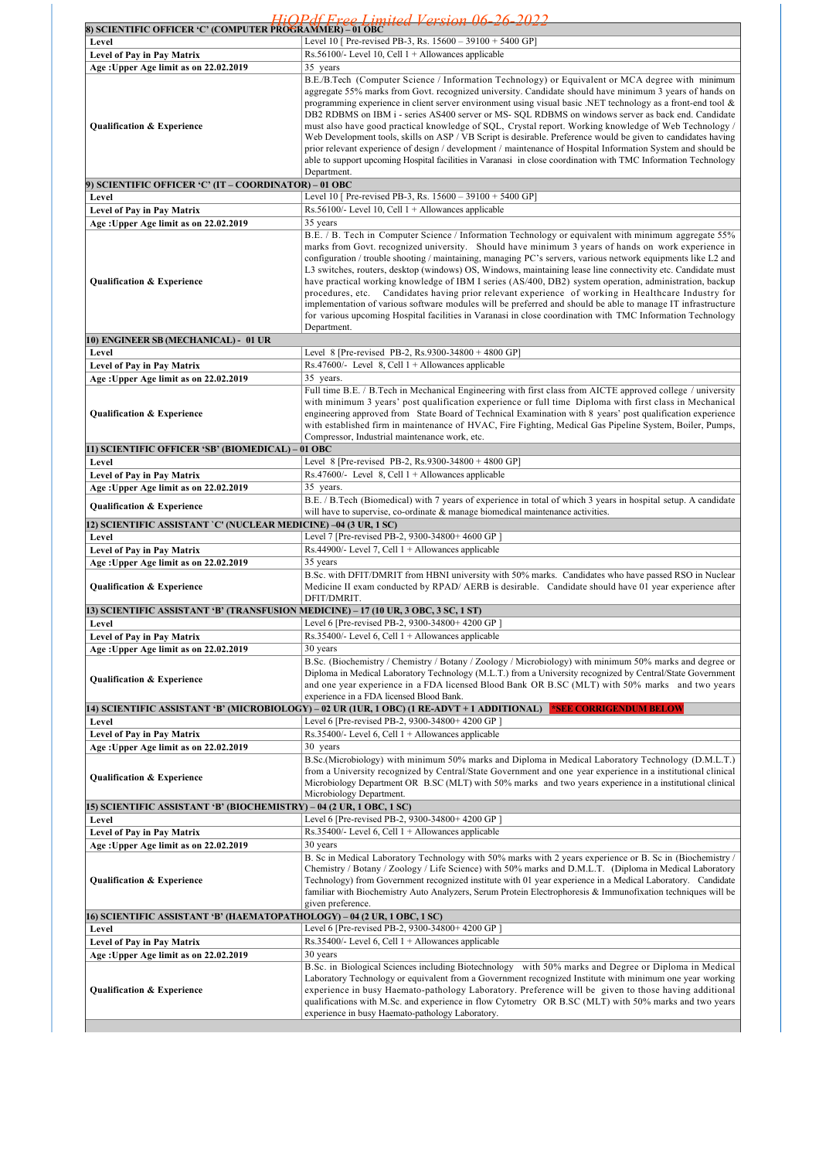| 8) SCIENTIFIC OFFICER 'C' (COMPUTER PROGRAMMER) – 01 OBC                            | <u> Hi∩Pdf Froo Limitod Vorsion 06-26-2022</u>                                                                                                                                                                                                                                                                                                                                                                                                                                                                                                                                                                                                                                                                                                                                                                                                                                                                  |
|-------------------------------------------------------------------------------------|-----------------------------------------------------------------------------------------------------------------------------------------------------------------------------------------------------------------------------------------------------------------------------------------------------------------------------------------------------------------------------------------------------------------------------------------------------------------------------------------------------------------------------------------------------------------------------------------------------------------------------------------------------------------------------------------------------------------------------------------------------------------------------------------------------------------------------------------------------------------------------------------------------------------|
| Level                                                                               | Level 10 [ Pre-revised PB-3, Rs. $15600 - 39100 + 5400$ GP]                                                                                                                                                                                                                                                                                                                                                                                                                                                                                                                                                                                                                                                                                                                                                                                                                                                     |
| Level of Pay in Pay Matrix                                                          | Rs.56100/- Level 10, Cell $1 +$ Allowances applicable                                                                                                                                                                                                                                                                                                                                                                                                                                                                                                                                                                                                                                                                                                                                                                                                                                                           |
| Age: Upper Age limit as on 22.02.2019                                               | 35 years                                                                                                                                                                                                                                                                                                                                                                                                                                                                                                                                                                                                                                                                                                                                                                                                                                                                                                        |
| Qualification & Experience                                                          | B.E./B.Tech (Computer Science / Information Technology) or Equivalent or MCA degree with minimum<br>aggregate 55% marks from Govt. recognized university. Candidate should have minimum 3 years of hands on<br>programming experience in client server environment using visual basic .NET technology as a front-end tool $\&$<br>DB2 RDBMS on IBM i - series AS400 server or MS- SQL RDBMS on windows server as back end. Candidate<br>must also have good practical knowledge of SQL, Crystal report. Working knowledge of Web Technology /<br>Web Development tools, skills on ASP / VB Script is desirable. Preference would be given to candidates having<br>prior relevant experience of design / development / maintenance of Hospital Information System and should be<br>able to support upcoming Hospital facilities in Varanasi in close coordination with TMC Information Technology<br>Department. |
| 9) SCIENTIFIC OFFICER 'C' (IT – COORDINATOR) – 01 OBC                               |                                                                                                                                                                                                                                                                                                                                                                                                                                                                                                                                                                                                                                                                                                                                                                                                                                                                                                                 |
| Level                                                                               | Level 10 [ Pre-revised PB-3, Rs. $15600 - 39100 + 5400$ GP]                                                                                                                                                                                                                                                                                                                                                                                                                                                                                                                                                                                                                                                                                                                                                                                                                                                     |
| Level of Pay in Pay Matrix                                                          | Rs. 56100/- Level 10, Cell $1 +$ Allowances applicable<br>35 years                                                                                                                                                                                                                                                                                                                                                                                                                                                                                                                                                                                                                                                                                                                                                                                                                                              |
| Age: Upper Age limit as on 22.02.2019                                               | B.E. / B. Tech in Computer Science / Information Technology or equivalent with minimum aggregate 55%                                                                                                                                                                                                                                                                                                                                                                                                                                                                                                                                                                                                                                                                                                                                                                                                            |
| Qualification & Experience                                                          | marks from Govt. recognized university. Should have minimum 3 years of hands on work experience in<br>configuration / trouble shooting / maintaining, managing PC's servers, various network equipments like L2 and<br>L3 switches, routers, desktop (windows) OS, Windows, maintaining lease line connectivity etc. Candidate must<br>have practical working knowledge of IBM I series (AS/400, DB2) system operation, administration, backup<br>procedures, etc. Candidates having prior relevant experience of working in Healthcare Industry for<br>implementation of various software modules will be preferred and should be able to manage IT infrastructure<br>for various upcoming Hospital facilities in Varanasi in close coordination with TMC Information Technology<br>Department.                                                                                                                |
| 10) ENGINEER SB (MECHANICAL) - 01 UR                                                |                                                                                                                                                                                                                                                                                                                                                                                                                                                                                                                                                                                                                                                                                                                                                                                                                                                                                                                 |
| Level                                                                               | Level 8 [Pre-revised PB-2, Rs.9300-34800 + 4800 GP]                                                                                                                                                                                                                                                                                                                                                                                                                                                                                                                                                                                                                                                                                                                                                                                                                                                             |
| Level of Pay in Pay Matrix                                                          | Rs.47600/- Level 8, Cell $1 +$ Allowances applicable                                                                                                                                                                                                                                                                                                                                                                                                                                                                                                                                                                                                                                                                                                                                                                                                                                                            |
| Age: Upper Age limit as on 22.02.2019<br>Qualification & Experience                 | 35 years.<br>Full time B.E. / B.Tech in Mechanical Engineering with first class from AICTE approved college / university<br>with minimum 3 years' post qualification experience or full time Diploma with first class in Mechanical<br>engineering approved from State Board of Technical Examination with 8 years' post qualification experience<br>with established firm in maintenance of HVAC, Fire Fighting, Medical Gas Pipeline System, Boiler, Pumps,<br>Compressor, Industrial maintenance work, etc.                                                                                                                                                                                                                                                                                                                                                                                                  |
| 11) SCIENTIFIC OFFICER 'SB' (BIOMEDICAL) - 01 OBC                                   |                                                                                                                                                                                                                                                                                                                                                                                                                                                                                                                                                                                                                                                                                                                                                                                                                                                                                                                 |
| Level                                                                               | Level 8 [Pre-revised PB-2, Rs.9300-34800 + 4800 GP]                                                                                                                                                                                                                                                                                                                                                                                                                                                                                                                                                                                                                                                                                                                                                                                                                                                             |
| Level of Pay in Pay Matrix<br>Age: Upper Age limit as on 22.02.2019                 | Rs.47600/- Level 8, Cell $1 +$ Allowances applicable<br>35 years.                                                                                                                                                                                                                                                                                                                                                                                                                                                                                                                                                                                                                                                                                                                                                                                                                                               |
|                                                                                     | B.E. / B.Tech (Biomedical) with 7 years of experience in total of which 3 years in hospital setup. A candidate                                                                                                                                                                                                                                                                                                                                                                                                                                                                                                                                                                                                                                                                                                                                                                                                  |
| <b>Qualification &amp; Experience</b>                                               | will have to supervise, co-ordinate & manage biomedical maintenance activities.                                                                                                                                                                                                                                                                                                                                                                                                                                                                                                                                                                                                                                                                                                                                                                                                                                 |
| 12) SCIENTIFIC ASSISTANT `C' (NUCLEAR MEDICINE) –04 (3 UR, 1 SC)<br>Level           | Level 7 [Pre-revised PB-2, 9300-34800+4600 GP]                                                                                                                                                                                                                                                                                                                                                                                                                                                                                                                                                                                                                                                                                                                                                                                                                                                                  |
| Level of Pay in Pay Matrix                                                          | Rs.44900/- Level 7, Cell $1 +$ Allowances applicable                                                                                                                                                                                                                                                                                                                                                                                                                                                                                                                                                                                                                                                                                                                                                                                                                                                            |
| Age: Upper Age limit as on 22.02.2019                                               | 35 years                                                                                                                                                                                                                                                                                                                                                                                                                                                                                                                                                                                                                                                                                                                                                                                                                                                                                                        |
| Qualification & Experience                                                          | B.Sc. with DFIT/DMRIT from HBNI university with 50% marks. Candidates who have passed RSO in Nuclear<br>Medicine II exam conducted by RPAD/ AERB is desirable. Candidate should have 01 year experience after<br>DFIT/DMRIT.                                                                                                                                                                                                                                                                                                                                                                                                                                                                                                                                                                                                                                                                                    |
| 13) SCIENTIFIC ASSISTANT 'B' (TRANSFUSION MEDICINE) – 17 (10 UR, 3 OBC, 3 SC, 1 ST) |                                                                                                                                                                                                                                                                                                                                                                                                                                                                                                                                                                                                                                                                                                                                                                                                                                                                                                                 |
| Level                                                                               | Level 6 [Pre-revised PB-2, 9300-34800+4200 GP]                                                                                                                                                                                                                                                                                                                                                                                                                                                                                                                                                                                                                                                                                                                                                                                                                                                                  |
| Level of Pay in Pay Matrix<br>Age: Upper Age limit as on 22.02.2019                 | Rs.35400/- Level 6, Cell $1 +$ Allowances applicable<br>30 years                                                                                                                                                                                                                                                                                                                                                                                                                                                                                                                                                                                                                                                                                                                                                                                                                                                |
| <b>Qualification &amp; Experience</b>                                               | B.Sc. (Biochemistry / Chemistry / Botany / Zoology / Microbiology) with minimum 50% marks and degree or<br>Diploma in Medical Laboratory Technology (M.L.T.) from a University recognized by Central/State Government<br>and one year experience in a FDA licensed Blood Bank OR B.SC (MLT) with 50% marks and two years<br>experience in a FDA licensed Blood Bank.                                                                                                                                                                                                                                                                                                                                                                                                                                                                                                                                            |
|                                                                                     | 14) SCIENTIFIC ASSISTANT 'B' (MICROBIOLOGY) – 02 UR (1UR, 1 OBC) (1 RE-ADVT + 1 ADDITIONAL) <b>_*SEE CORRIGENDUM BELOW</b>                                                                                                                                                                                                                                                                                                                                                                                                                                                                                                                                                                                                                                                                                                                                                                                      |
| Level<br>Level of Pay in Pay Matrix                                                 | Level 6 [Pre-revised PB-2, 9300-34800+ 4200 GP]<br>Rs.35400/- Level 6, Cell $1 +$ Allowances applicable                                                                                                                                                                                                                                                                                                                                                                                                                                                                                                                                                                                                                                                                                                                                                                                                         |
| Age: Upper Age limit as on 22.02.2019                                               | 30 years                                                                                                                                                                                                                                                                                                                                                                                                                                                                                                                                                                                                                                                                                                                                                                                                                                                                                                        |
| Qualification & Experience                                                          | B.Sc.(Microbiology) with minimum 50% marks and Diploma in Medical Laboratory Technology (D.M.L.T.)<br>from a University recognized by Central/State Government and one year experience in a institutional clinical<br>Microbiology Department OR B.SC (MLT) with 50% marks and two years experience in a institutional clinical<br>Microbiology Department.                                                                                                                                                                                                                                                                                                                                                                                                                                                                                                                                                     |
| 15) SCIENTIFIC ASSISTANT 'B' (BIOCHEMISTRY) – 04 (2 UR, 1 OBC, 1 SC)                |                                                                                                                                                                                                                                                                                                                                                                                                                                                                                                                                                                                                                                                                                                                                                                                                                                                                                                                 |
| Level                                                                               | Level 6 [Pre-revised PB-2, 9300-34800+4200 GP]                                                                                                                                                                                                                                                                                                                                                                                                                                                                                                                                                                                                                                                                                                                                                                                                                                                                  |
| Level of Pay in Pay Matrix<br>Age: Upper Age limit as on 22.02.2019                 | Rs.35400/- Level 6, Cell $1 +$ Allowances applicable<br>30 years                                                                                                                                                                                                                                                                                                                                                                                                                                                                                                                                                                                                                                                                                                                                                                                                                                                |
| Qualification & Experience                                                          | B. Sc in Medical Laboratory Technology with 50% marks with 2 years experience or B. Sc in (Biochemistry /<br>Chemistry / Botany / Zoology / Life Science) with 50% marks and D.M.L.T. (Diploma in Medical Laboratory<br>Technology) from Government recognized institute with 01 year experience in a Medical Laboratory. Candidate<br>familiar with Biochemistry Auto Analyzers, Serum Protein Electrophoresis & Immunofixation techniques will be<br>given preference.                                                                                                                                                                                                                                                                                                                                                                                                                                        |
| 16) SCIENTIFIC ASSISTANT 'B' (HAEMATOPATHOLOGY) – 04 (2 UR, 1 OBC, 1 SC)            |                                                                                                                                                                                                                                                                                                                                                                                                                                                                                                                                                                                                                                                                                                                                                                                                                                                                                                                 |
| Level<br>Level of Pay in Pay Matrix                                                 | Level 6 [Pre-revised PB-2, 9300-34800+ 4200 GP]<br>$Rs.35400/-$ Level 6, Cell $1 +$ Allowances applicable                                                                                                                                                                                                                                                                                                                                                                                                                                                                                                                                                                                                                                                                                                                                                                                                       |
| Age: Upper Age limit as on 22.02.2019                                               | 30 years                                                                                                                                                                                                                                                                                                                                                                                                                                                                                                                                                                                                                                                                                                                                                                                                                                                                                                        |
| Qualification & Experience                                                          | B.Sc. in Biological Sciences including Biotechnology with 50% marks and Degree or Diploma in Medical<br>Laboratory Technology or equivalent from a Government recognized Institute with minimum one year working<br>experience in busy Haemato-pathology Laboratory. Preference will be given to those having additional<br>qualifications with M.Sc. and experience in flow Cytometry OR B.SC (MLT) with 50% marks and two years<br>experience in busy Haemato-pathology Laboratory.                                                                                                                                                                                                                                                                                                                                                                                                                           |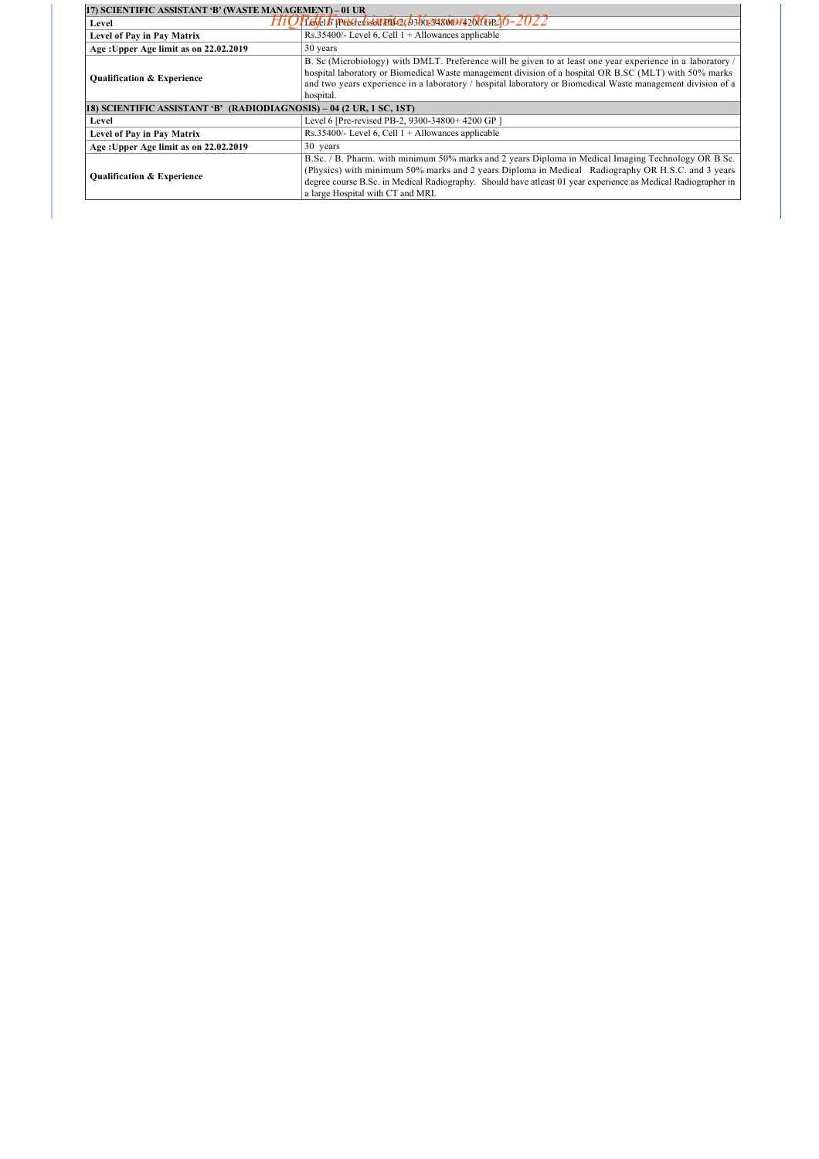| 17) SCIENTIFIC ASSISTANT 'B' (WASTE MANAGEMENT) - 01 UR              |                                                                                                                                                                                                                                                                                                                                                                |  |
|----------------------------------------------------------------------|----------------------------------------------------------------------------------------------------------------------------------------------------------------------------------------------------------------------------------------------------------------------------------------------------------------------------------------------------------------|--|
| Level                                                                | <u> Plakuk precedidennitezk skoczascio razbłosn<math>26</math>–2022</u>                                                                                                                                                                                                                                                                                        |  |
| Level of Pay in Pay Matrix                                           | Rs.35400/- Level 6, Cell $1 +$ Allowances applicable                                                                                                                                                                                                                                                                                                           |  |
| Age: Upper Age limit as on 22.02.2019                                | 30 years                                                                                                                                                                                                                                                                                                                                                       |  |
| <b>Qualification &amp; Experience</b>                                | B. Sc (Microbiology) with DMLT. Preference will be given to at least one year experience in a laboratory /<br>hospital laboratory or Biomedical Waste management division of a hospital OR B.SC (MLT) with 50% marks<br>and two years experience in a laboratory / hospital laboratory or Biomedical Waste management division of a<br>hospital.               |  |
| 18) SCIENTIFIC ASSISTANT 'B' (RADIODIAGNOSIS) – 04 (2 UR, 1 SC, 1ST) |                                                                                                                                                                                                                                                                                                                                                                |  |
| Level                                                                | Level 6 [Pre-revised PB-2, 9300-34800+4200 GP]                                                                                                                                                                                                                                                                                                                 |  |
| <b>Level of Pay in Pay Matrix</b>                                    | Rs.35400/- Level 6, Cell $1 +$ Allowances applicable                                                                                                                                                                                                                                                                                                           |  |
| Age: Upper Age limit as on 22.02.2019                                | 30 years                                                                                                                                                                                                                                                                                                                                                       |  |
| <b>Qualification &amp; Experience</b>                                | B.Sc. / B. Pharm. with minimum 50% marks and 2 years Diploma in Medical Imaging Technology OR B.Sc.<br>(Physics) with minimum 50% marks and 2 years Diploma in Medical Radiography OR H.S.C. and 3 years<br>degree course B.Sc. in Medical Radiography. Should have atleast 01 year experience as Medical Radiographer in<br>a large Hospital with CT and MRI. |  |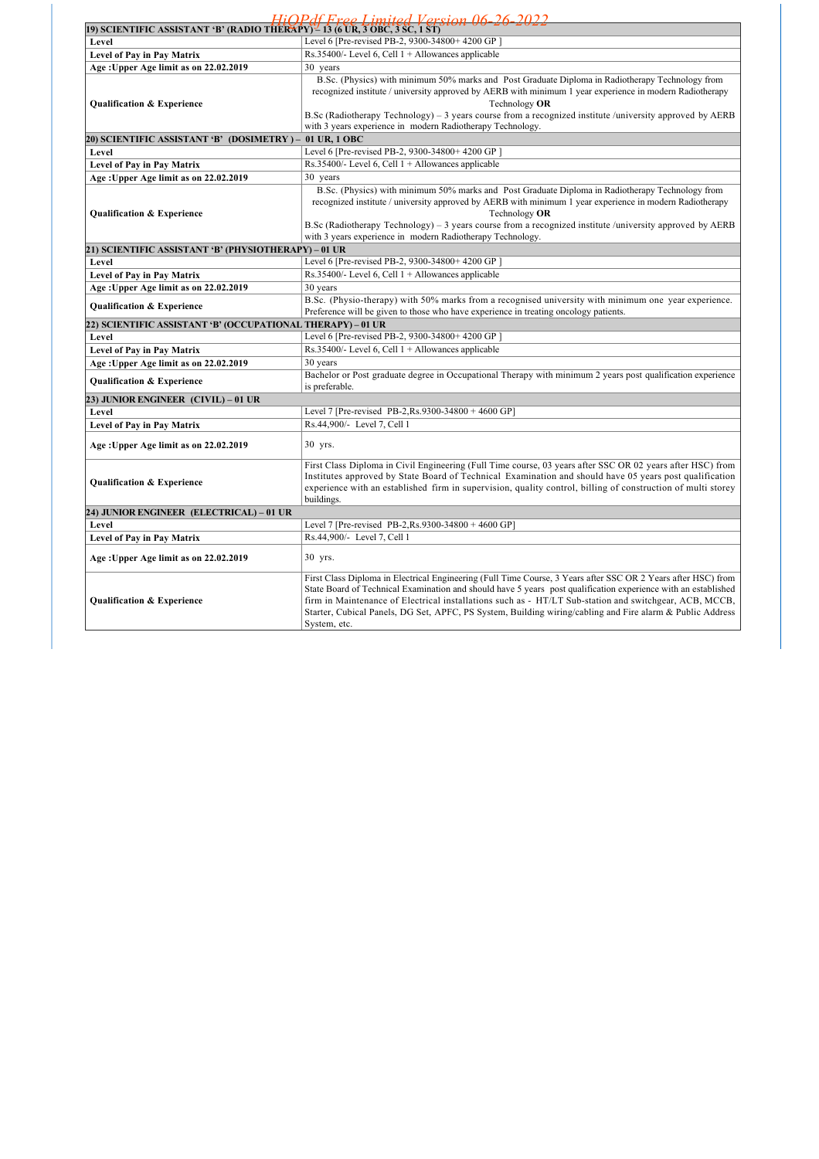|                                                                             | HiOPdf Free Limited Version 06-26-2022                                                                                                                                                                                                                                                                                                                                                                                                                                 |  |  |
|-----------------------------------------------------------------------------|------------------------------------------------------------------------------------------------------------------------------------------------------------------------------------------------------------------------------------------------------------------------------------------------------------------------------------------------------------------------------------------------------------------------------------------------------------------------|--|--|
| 19) SCIENTIFIC ASSISTANT 'B' (RADIO THERAPY) - 13 (6 UR, 3 OBC, 3 SC, 1 ST) |                                                                                                                                                                                                                                                                                                                                                                                                                                                                        |  |  |
| Level                                                                       | Level 6 [Pre-revised PB-2, 9300-34800+ 4200 GP]                                                                                                                                                                                                                                                                                                                                                                                                                        |  |  |
| Level of Pay in Pay Matrix                                                  | Rs.35400/- Level 6, Cell $1 +$ Allowances applicable                                                                                                                                                                                                                                                                                                                                                                                                                   |  |  |
| Age: Upper Age limit as on 22.02.2019                                       | 30 years                                                                                                                                                                                                                                                                                                                                                                                                                                                               |  |  |
| <b>Qualification &amp; Experience</b>                                       | B.Sc. (Physics) with minimum 50% marks and Post Graduate Diploma in Radiotherapy Technology from<br>recognized institute / university approved by AERB with minimum 1 year experience in modern Radiotherapy<br>Technology OR<br>B.Sc (Radiotherapy Technology) – 3 years course from a recognized institute /university approved by AERB<br>with 3 years experience in modern Radiotherapy Technology.                                                                |  |  |
| 20) SCIENTIFIC ASSISTANT 'B' (DOSIMETRY ) –                                 | 01 UR, 1 OBC                                                                                                                                                                                                                                                                                                                                                                                                                                                           |  |  |
| Level                                                                       | Level 6 [Pre-revised PB-2, 9300-34800+ 4200 GP]                                                                                                                                                                                                                                                                                                                                                                                                                        |  |  |
| <b>Level of Pay in Pay Matrix</b>                                           | Rs.35400/- Level 6, Cell $1 +$ Allowances applicable                                                                                                                                                                                                                                                                                                                                                                                                                   |  |  |
| Age: Upper Age limit as on 22.02.2019                                       | 30 years                                                                                                                                                                                                                                                                                                                                                                                                                                                               |  |  |
| Qualification & Experience                                                  | B.Sc. (Physics) with minimum 50% marks and Post Graduate Diploma in Radiotherapy Technology from<br>recognized institute / university approved by AERB with minimum 1 year experience in modern Radiotherapy<br>Technology OR<br>B.Sc (Radiotherapy Technology) – 3 years course from a recognized institute /university approved by AERB<br>with 3 years experience in modern Radiotherapy Technology.                                                                |  |  |
| 21) SCIENTIFIC ASSISTANT 'B' (PHYSIOTHERAPY) – 01 UR                        |                                                                                                                                                                                                                                                                                                                                                                                                                                                                        |  |  |
| Level                                                                       | Level 6 [Pre-revised PB-2, 9300-34800+4200 GP]                                                                                                                                                                                                                                                                                                                                                                                                                         |  |  |
| Level of Pay in Pay Matrix                                                  | Rs.35400/- Level 6, Cell $1 +$ Allowances applicable                                                                                                                                                                                                                                                                                                                                                                                                                   |  |  |
| Age: Upper Age limit as on 22.02.2019                                       | 30 years                                                                                                                                                                                                                                                                                                                                                                                                                                                               |  |  |
| Qualification & Experience                                                  | B.Sc. (Physio-therapy) with 50% marks from a recognised university with minimum one year experience.<br>Preference will be given to those who have experience in treating oncology patients.                                                                                                                                                                                                                                                                           |  |  |
| 22) SCIENTIFIC ASSISTANT 'B' (OCCUPATIONAL THERAPY) – 01 UR                 |                                                                                                                                                                                                                                                                                                                                                                                                                                                                        |  |  |
| Level                                                                       | Level 6 [Pre-revised PB-2, 9300-34800+4200 GP]                                                                                                                                                                                                                                                                                                                                                                                                                         |  |  |
| Level of Pay in Pay Matrix                                                  | Rs.35400/- Level 6, Cell $1 +$ Allowances applicable                                                                                                                                                                                                                                                                                                                                                                                                                   |  |  |
| Age: Upper Age limit as on 22.02.2019                                       | 30 years                                                                                                                                                                                                                                                                                                                                                                                                                                                               |  |  |
| Qualification & Experience                                                  | Bachelor or Post graduate degree in Occupational Therapy with minimum 2 years post qualification experience<br>is preferable.                                                                                                                                                                                                                                                                                                                                          |  |  |
| 23) JUNIOR ENGINEER (CIVIL) – 01 UR                                         |                                                                                                                                                                                                                                                                                                                                                                                                                                                                        |  |  |
| Level                                                                       | Level 7 [Pre-revised PB-2, Rs. 9300-34800 + 4600 GP]                                                                                                                                                                                                                                                                                                                                                                                                                   |  |  |
| <b>Level of Pay in Pay Matrix</b>                                           | Rs.44,900/- Level 7, Cell 1                                                                                                                                                                                                                                                                                                                                                                                                                                            |  |  |
| Age: Upper Age limit as on 22.02.2019                                       | 30 yrs.                                                                                                                                                                                                                                                                                                                                                                                                                                                                |  |  |
| Qualification & Experience                                                  | First Class Diploma in Civil Engineering (Full Time course, 03 years after SSC OR 02 years after HSC) from<br>Institutes approved by State Board of Technical Examination and should have 05 years post qualification<br>experience with an established firm in supervision, quality control, billing of construction of multi storey<br>buildings.                                                                                                                    |  |  |
| 24) JUNIOR ENGINEER (ELECTRICAL) – 01 UR                                    |                                                                                                                                                                                                                                                                                                                                                                                                                                                                        |  |  |
| Level                                                                       | Level 7 [Pre-revised PB-2, Rs. 9300-34800 + 4600 GP]                                                                                                                                                                                                                                                                                                                                                                                                                   |  |  |
| Level of Pay in Pay Matrix                                                  | Rs.44,900/- Level 7, Cell 1                                                                                                                                                                                                                                                                                                                                                                                                                                            |  |  |
| Age :Upper Age limit as on 22.02.2019                                       | 30 yrs.                                                                                                                                                                                                                                                                                                                                                                                                                                                                |  |  |
| Qualification & Experience                                                  | First Class Diploma in Electrical Engineering (Full Time Course, 3 Years after SSC OR 2 Years after HSC) from<br>State Board of Technical Examination and should have 5 years post qualification experience with an established<br>firm in Maintenance of Electrical installations such as - HT/LT Sub-station and switchgear, ACB, MCCB,<br>Starter, Cubical Panels, DG Set, APFC, PS System, Building wiring/cabling and Fire alarm & Public Address<br>System, etc. |  |  |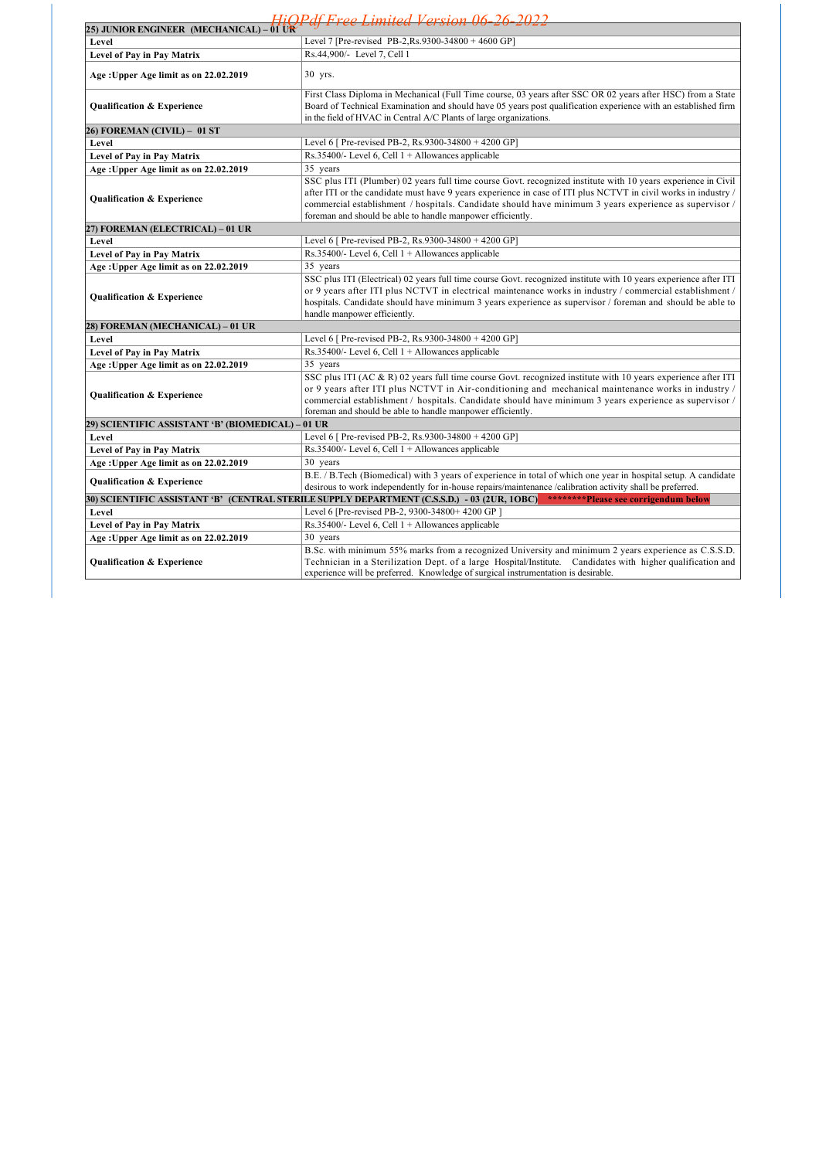| HiOPdf Free Limited Version 06-26-2022            |                                                                                                                                                                                                                                                                                                                                                                                                         |  |  |
|---------------------------------------------------|---------------------------------------------------------------------------------------------------------------------------------------------------------------------------------------------------------------------------------------------------------------------------------------------------------------------------------------------------------------------------------------------------------|--|--|
| 25) JUNIOR ENGINEER (MECHANICAL) – $01$ UR        |                                                                                                                                                                                                                                                                                                                                                                                                         |  |  |
| Level                                             | Level 7 [Pre-revised PB-2, Rs. 9300-34800 + 4600 GP]                                                                                                                                                                                                                                                                                                                                                    |  |  |
| Level of Pay in Pay Matrix                        | Rs.44,900/- Level 7, Cell 1                                                                                                                                                                                                                                                                                                                                                                             |  |  |
| Age: Upper Age limit as on 22.02.2019             | 30 yrs.                                                                                                                                                                                                                                                                                                                                                                                                 |  |  |
| Qualification & Experience                        | First Class Diploma in Mechanical (Full Time course, 03 years after SSC OR 02 years after HSC) from a State<br>Board of Technical Examination and should have 05 years post qualification experience with an established firm<br>in the field of HVAC in Central A/C Plants of large organizations.                                                                                                     |  |  |
| 26) FOREMAN (CIVIL) - 01 ST                       |                                                                                                                                                                                                                                                                                                                                                                                                         |  |  |
| Level                                             | Level 6 [ Pre-revised PB-2, Rs.9300-34800 + 4200 GP]                                                                                                                                                                                                                                                                                                                                                    |  |  |
| Level of Pay in Pay Matrix                        | Rs.35400/- Level 6, Cell $1 +$ Allowances applicable                                                                                                                                                                                                                                                                                                                                                    |  |  |
| Age: Upper Age limit as on 22.02.2019             | 35 years                                                                                                                                                                                                                                                                                                                                                                                                |  |  |
| <b>Qualification &amp; Experience</b>             | SSC plus ITI (Plumber) 02 years full time course Govt. recognized institute with 10 years experience in Civil<br>after ITI or the candidate must have 9 years experience in case of ITI plus NCTVT in civil works in industry /<br>commercial establishment / hospitals. Candidate should have minimum 3 years experience as supervisor /<br>foreman and should be able to handle manpower efficiently. |  |  |
| 27) FOREMAN (ELECTRICAL) – 01 UR                  |                                                                                                                                                                                                                                                                                                                                                                                                         |  |  |
| Level                                             | Level 6 [ Pre-revised PB-2, Rs.9300-34800 + 4200 GP]                                                                                                                                                                                                                                                                                                                                                    |  |  |
| Level of Pay in Pay Matrix                        | Rs.35400/- Level 6, Cell $1 +$ Allowances applicable                                                                                                                                                                                                                                                                                                                                                    |  |  |
| Age: Upper Age limit as on 22.02.2019             | 35 years                                                                                                                                                                                                                                                                                                                                                                                                |  |  |
| Qualification & Experience                        | SSC plus ITI (Electrical) 02 years full time course Govt. recognized institute with 10 years experience after ITI<br>or 9 years after ITI plus NCTVT in electrical maintenance works in industry / commercial establishment /<br>hospitals. Candidate should have minimum 3 years experience as supervisor / foreman and should be able to<br>handle manpower efficiently.                              |  |  |
| 28) FOREMAN (MECHANICAL) - 01 UR                  |                                                                                                                                                                                                                                                                                                                                                                                                         |  |  |
| Level                                             | Level 6 [ Pre-revised PB-2, Rs.9300-34800 + 4200 GP]                                                                                                                                                                                                                                                                                                                                                    |  |  |
| <b>Level of Pay in Pay Matrix</b>                 | Rs.35400/- Level 6, Cell 1 + Allowances applicable                                                                                                                                                                                                                                                                                                                                                      |  |  |
| Age: Upper Age limit as on 22.02.2019             | 35 years                                                                                                                                                                                                                                                                                                                                                                                                |  |  |
| Qualification & Experience                        | SSC plus ITI (AC & R) 02 years full time course Govt. recognized institute with 10 years experience after ITI<br>or 9 years after ITI plus NCTVT in Air-conditioning and mechanical maintenance works in industry<br>commercial establishment / hospitals. Candidate should have minimum 3 years experience as supervisor /<br>foreman and should be able to handle manpower efficiently.               |  |  |
| 29) SCIENTIFIC ASSISTANT 'B' (BIOMEDICAL) – 01 UR |                                                                                                                                                                                                                                                                                                                                                                                                         |  |  |
| Level                                             | Level 6 [ Pre-revised PB-2, Rs.9300-34800 + 4200 GP]                                                                                                                                                                                                                                                                                                                                                    |  |  |
| Level of Pay in Pay Matrix                        | Rs.35400/- Level 6, Cell $1 +$ Allowances applicable                                                                                                                                                                                                                                                                                                                                                    |  |  |
| Age: Upper Age limit as on 22.02.2019             | 30 years                                                                                                                                                                                                                                                                                                                                                                                                |  |  |
| Qualification & Experience                        | B.E. / B.Tech (Biomedical) with 3 years of experience in total of which one year in hospital setup. A candidate<br>desirous to work independently for in-house repairs/maintenance /calibration activity shall be preferred.                                                                                                                                                                            |  |  |
|                                                   | ********Please see corrigendum below<br>30) SCIENTIFIC ASSISTANT 'B' (CENTRAL STERILE SUPPLY DEPARTMENT (C.S.S.D.) - 03 (2UR, 1OBC)                                                                                                                                                                                                                                                                     |  |  |
| Level                                             | Level 6 [Pre-revised PB-2, 9300-34800+ 4200 GP]                                                                                                                                                                                                                                                                                                                                                         |  |  |
| Level of Pay in Pay Matrix                        | Rs.35400/- Level 6, Cell $1 +$ Allowances applicable                                                                                                                                                                                                                                                                                                                                                    |  |  |
| Age: Upper Age limit as on 22.02.2019             | 30 years                                                                                                                                                                                                                                                                                                                                                                                                |  |  |
| <b>Qualification &amp; Experience</b>             | B.Sc. with minimum 55% marks from a recognized University and minimum 2 years experience as C.S.S.D.<br>Technician in a Sterilization Dept. of a large Hospital/Institute. Candidates with higher qualification and<br>experience will be preferred. Knowledge of surgical instrumentation is desirable.                                                                                                |  |  |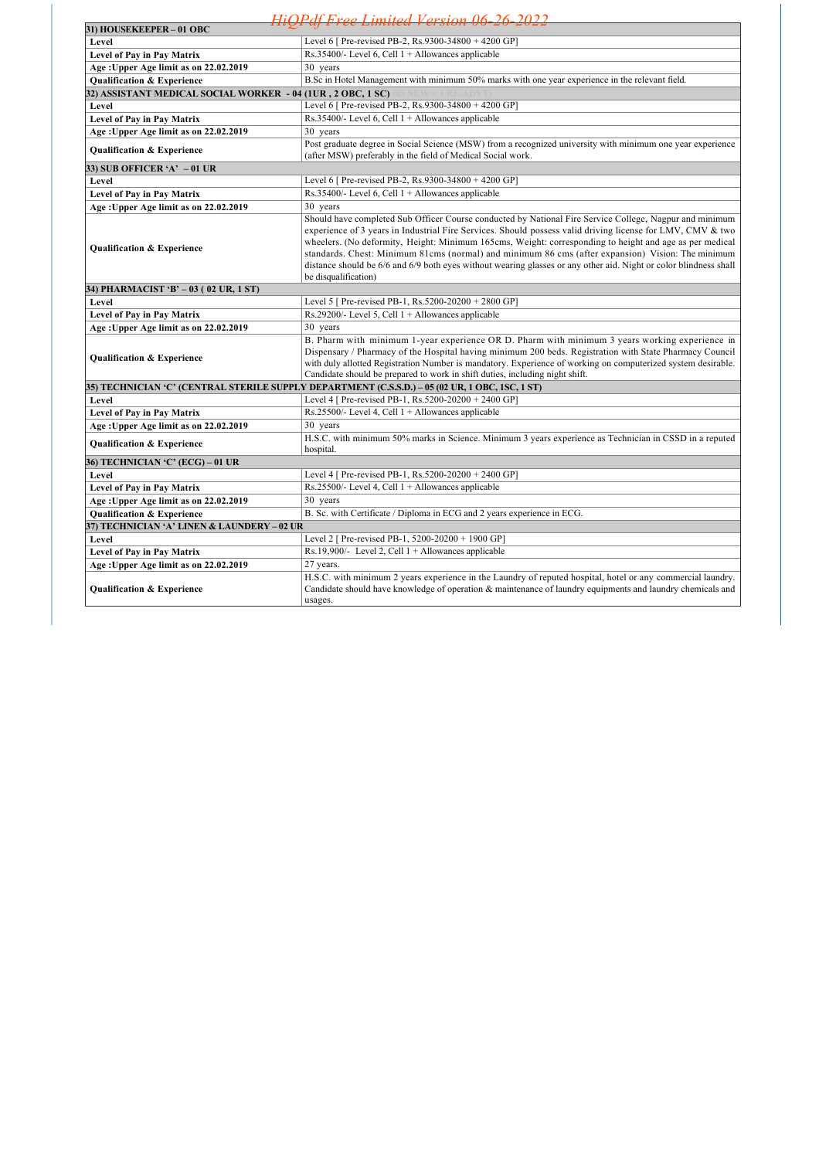|                                                              | HiOPdf Free Limited Version 06-26-2022                                                                                                                                                                                                                                                                                                                                                                                                                                                                                                                                             |
|--------------------------------------------------------------|------------------------------------------------------------------------------------------------------------------------------------------------------------------------------------------------------------------------------------------------------------------------------------------------------------------------------------------------------------------------------------------------------------------------------------------------------------------------------------------------------------------------------------------------------------------------------------|
| 31) HOUSEKEEPER - 01 OBC                                     |                                                                                                                                                                                                                                                                                                                                                                                                                                                                                                                                                                                    |
| Level                                                        | Level 6 [ Pre-revised PB-2, Rs.9300-34800 + 4200 GP]                                                                                                                                                                                                                                                                                                                                                                                                                                                                                                                               |
| <b>Level of Pay in Pay Matrix</b>                            | Rs.35400/- Level 6, Cell $1 +$ Allowances applicable                                                                                                                                                                                                                                                                                                                                                                                                                                                                                                                               |
| Age: Upper Age limit as on 22.02.2019                        | 30 years                                                                                                                                                                                                                                                                                                                                                                                                                                                                                                                                                                           |
| <b>Qualification &amp; Experience</b>                        | B.Sc in Hotel Management with minimum 50% marks with one year experience in the relevant field.                                                                                                                                                                                                                                                                                                                                                                                                                                                                                    |
| 32) ASSISTANT MEDICAL SOCIAL WORKER - 04 (1UR , 2 OBC, 1 SC) |                                                                                                                                                                                                                                                                                                                                                                                                                                                                                                                                                                                    |
| Level                                                        | Level 6 [ Pre-revised PB-2, Rs.9300-34800 + 4200 GP]                                                                                                                                                                                                                                                                                                                                                                                                                                                                                                                               |
| Level of Pay in Pay Matrix                                   | Rs.35400/- Level 6, Cell $1 +$ Allowances applicable                                                                                                                                                                                                                                                                                                                                                                                                                                                                                                                               |
| Age: Upper Age limit as on 22.02.2019                        | 30 years                                                                                                                                                                                                                                                                                                                                                                                                                                                                                                                                                                           |
| <b>Qualification &amp; Experience</b>                        | Post graduate degree in Social Science (MSW) from a recognized university with minimum one year experience<br>(after MSW) preferably in the field of Medical Social work.                                                                                                                                                                                                                                                                                                                                                                                                          |
| 33) SUB OFFICER 'A' -01 UR                                   |                                                                                                                                                                                                                                                                                                                                                                                                                                                                                                                                                                                    |
| Level                                                        | Level 6 [ Pre-revised PB-2, Rs.9300-34800 + 4200 GP]                                                                                                                                                                                                                                                                                                                                                                                                                                                                                                                               |
| Level of Pay in Pay Matrix                                   | $Rs.35400/-$ Level 6, Cell $1 +$ Allowances applicable                                                                                                                                                                                                                                                                                                                                                                                                                                                                                                                             |
| Age: Upper Age limit as on 22.02.2019                        | 30 years                                                                                                                                                                                                                                                                                                                                                                                                                                                                                                                                                                           |
| Qualification & Experience                                   | Should have completed Sub Officer Course conducted by National Fire Service College, Nagpur and minimum<br>experience of 3 years in Industrial Fire Services. Should possess valid driving license for LMV, CMV & two<br>wheelers. (No deformity, Height: Minimum 165cms, Weight: corresponding to height and age as per medical<br>standards. Chest: Minimum 81cms (normal) and minimum 86 cms (after expansion) Vision: The minimum<br>distance should be 6/6 and 6/9 both eyes without wearing glasses or any other aid. Night or color blindness shall<br>be disqualification) |
| 34) PHARMACIST 'B' – 03 (02 UR, 1 ST)                        |                                                                                                                                                                                                                                                                                                                                                                                                                                                                                                                                                                                    |
| Level                                                        | Level 5 [ Pre-revised PB-1, Rs.5200-20200 + 2800 GP]                                                                                                                                                                                                                                                                                                                                                                                                                                                                                                                               |
| Level of Pay in Pay Matrix                                   | Rs.29200/- Level 5, Cell $1 +$ Allowances applicable                                                                                                                                                                                                                                                                                                                                                                                                                                                                                                                               |
| Age: Upper Age limit as on 22.02.2019                        | 30 years                                                                                                                                                                                                                                                                                                                                                                                                                                                                                                                                                                           |
| Qualification & Experience                                   | B. Pharm with minimum 1-year experience OR D. Pharm with minimum 3 years working experience in<br>Dispensary / Pharmacy of the Hospital having minimum 200 beds. Registration with State Pharmacy Council<br>with duly allotted Registration Number is mandatory. Experience of working on computerized system desirable.<br>Candidate should be prepared to work in shift duties, including night shift.                                                                                                                                                                          |
|                                                              | 35) TECHNICIAN 'C' (CENTRAL STERILE SUPPLY DEPARTMENT (C.S.S.D.) – 05 (02 UR, 1 OBC, 1SC, 1 ST)                                                                                                                                                                                                                                                                                                                                                                                                                                                                                    |
| Level                                                        | Level 4 [ Pre-revised PB-1, Rs.5200-20200 + 2400 GP]                                                                                                                                                                                                                                                                                                                                                                                                                                                                                                                               |
| Level of Pay in Pay Matrix                                   | $Rs.25500/-$ Level 4, Cell $1 +$ Allowances applicable                                                                                                                                                                                                                                                                                                                                                                                                                                                                                                                             |
| Age: Upper Age limit as on 22.02.2019                        | 30 years                                                                                                                                                                                                                                                                                                                                                                                                                                                                                                                                                                           |
| <b>Qualification &amp; Experience</b>                        | H.S.C. with minimum 50% marks in Science. Minimum 3 years experience as Technician in CSSD in a reputed<br>hospital.                                                                                                                                                                                                                                                                                                                                                                                                                                                               |
| 36) TECHNICIAN 'C' (ECG) – 01 UR                             |                                                                                                                                                                                                                                                                                                                                                                                                                                                                                                                                                                                    |
| Level                                                        | Level 4 [ Pre-revised PB-1, Rs.5200-20200 + 2400 GP]                                                                                                                                                                                                                                                                                                                                                                                                                                                                                                                               |
| Level of Pay in Pay Matrix                                   | Rs.25500/- Level 4, Cell $1 +$ Allowances applicable                                                                                                                                                                                                                                                                                                                                                                                                                                                                                                                               |
| Age: Upper Age limit as on 22.02.2019                        | 30 years                                                                                                                                                                                                                                                                                                                                                                                                                                                                                                                                                                           |
| <b>Qualification &amp; Experience</b>                        | B. Sc. with Certificate / Diploma in ECG and 2 years experience in ECG.                                                                                                                                                                                                                                                                                                                                                                                                                                                                                                            |
| 37) TECHNICIAN 'A' LINEN & LAUNDERY – 02 UR                  |                                                                                                                                                                                                                                                                                                                                                                                                                                                                                                                                                                                    |
| Level                                                        | Level 2 [ Pre-revised PB-1, 5200-20200 + 1900 GP]                                                                                                                                                                                                                                                                                                                                                                                                                                                                                                                                  |
| Level of Pay in Pay Matrix                                   | Rs.19,900/- Level 2, Cell $1 +$ Allowances applicable                                                                                                                                                                                                                                                                                                                                                                                                                                                                                                                              |
| Age: Upper Age limit as on 22.02.2019                        | 27 years.                                                                                                                                                                                                                                                                                                                                                                                                                                                                                                                                                                          |
| Qualification & Experience                                   | H.S.C. with minimum 2 years experience in the Laundry of reputed hospital, hotel or any commercial laundry.<br>Candidate should have knowledge of operation & maintenance of laundry equipments and laundry chemicals and<br>usages.                                                                                                                                                                                                                                                                                                                                               |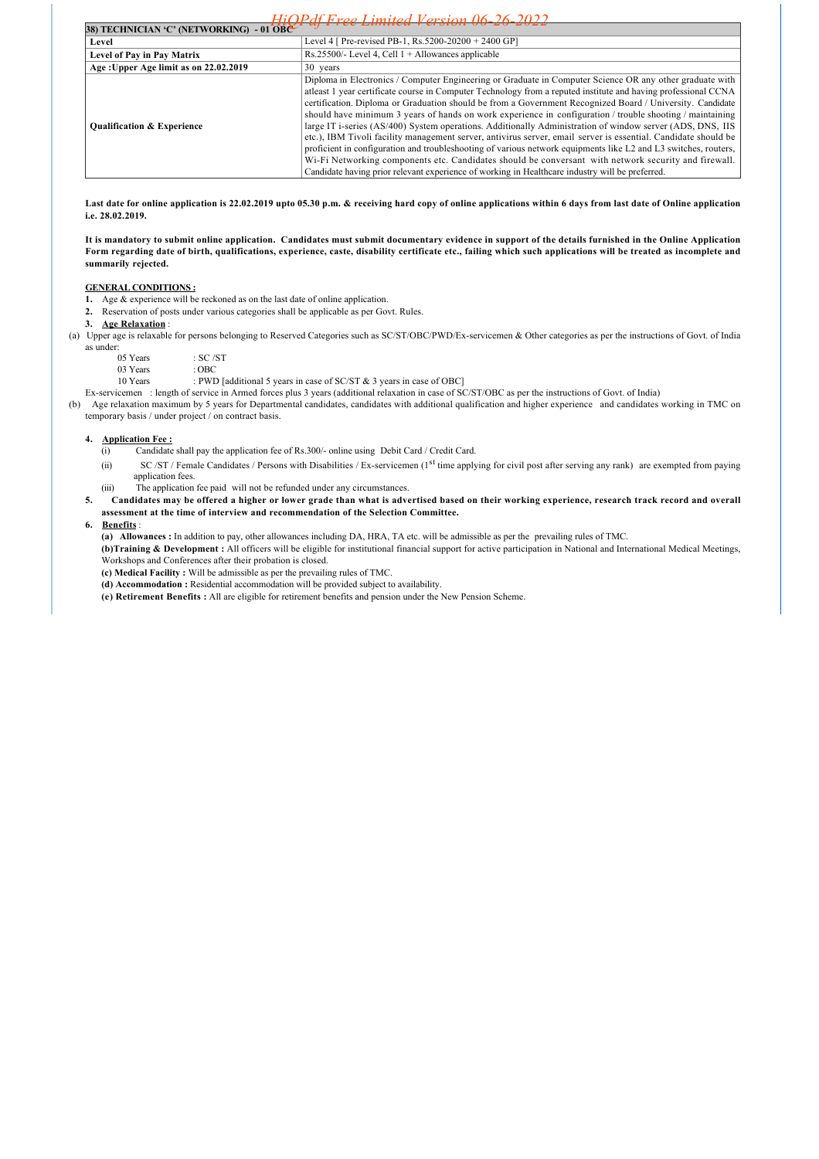| $H$ i $\bigcap$ $P$ df Ergo I imited Version $0$ 6-26-2022 |                                                                                                                                                                                                                                                                                                                                                                                                                                                                                                                                                                                                                                                                                                                                                                                                                                                                                                                                                                                                                   |  |
|------------------------------------------------------------|-------------------------------------------------------------------------------------------------------------------------------------------------------------------------------------------------------------------------------------------------------------------------------------------------------------------------------------------------------------------------------------------------------------------------------------------------------------------------------------------------------------------------------------------------------------------------------------------------------------------------------------------------------------------------------------------------------------------------------------------------------------------------------------------------------------------------------------------------------------------------------------------------------------------------------------------------------------------------------------------------------------------|--|
| 38) TECHNICIAN 'C' (NETWORKING) - 01 OBC                   |                                                                                                                                                                                                                                                                                                                                                                                                                                                                                                                                                                                                                                                                                                                                                                                                                                                                                                                                                                                                                   |  |
| Level                                                      | Level 4 [ Pre-revised PB-1, Rs.5200-20200 + 2400 GP]                                                                                                                                                                                                                                                                                                                                                                                                                                                                                                                                                                                                                                                                                                                                                                                                                                                                                                                                                              |  |
| Level of Pay in Pay Matrix                                 | $Rs.25500/-$ Level 4, Cell $1 +$ Allowances applicable                                                                                                                                                                                                                                                                                                                                                                                                                                                                                                                                                                                                                                                                                                                                                                                                                                                                                                                                                            |  |
| Age: Upper Age limit as on 22.02.2019                      | $30$ years                                                                                                                                                                                                                                                                                                                                                                                                                                                                                                                                                                                                                                                                                                                                                                                                                                                                                                                                                                                                        |  |
| <b>Qualification &amp; Experience</b>                      | Diploma in Electronics / Computer Engineering or Graduate in Computer Science OR any other graduate with<br>atleast 1 year certificate course in Computer Technology from a reputed institute and having professional CCNA<br>certification. Diploma or Graduation should be from a Government Recognized Board / University. Candidate<br>should have minimum 3 years of hands on work experience in configuration / trouble shooting / maintaining<br>large IT i-series (AS/400) System operations. Additionally Administration of window server (ADS, DNS, IIS<br>etc.), IBM Tivoli facility management server, antivirus server, email server is essential. Candidate should be<br>proficient in configuration and troubleshooting of various network equipments like L2 and L3 switches, routers,<br>Wi-Fi Networking components etc. Candidates should be conversant with network security and firewall.<br>Candidate having prior relevant experience of working in Healthcare industry will be preferred. |  |

**Last date for online application is 22.02.2019 upto 05.30 p.m. & receiving hard copy of online applications within 6 days from last date of Online application i.e. 28.02.2019.** 

**It is mandatory to submit online application. Candidates must submit documentary evidence in support of the details furnished in the Online Application Form regarding date of birth, qualifications, experience, caste, disability certificate etc., failing which such applications will be treated as incomplete and summarily rejected.** 

#### **GENERAL CONDITIONS :**

**1.** Age & experience will be reckoned as on the last date of online application.

**2.** Reservation of posts under various categories shall be applicable as per Govt. Rules.

## **3. Age Relaxation** :

(a) Upper age is relaxable for persons belonging to Reserved Categories such as SC/ST/OBC/PWD/Ex-servicemen & Other categories as per the instructions of Govt. of India as under:

| 05 Years | : SC /ST  |
|----------|-----------|
| 03 Years | : OBC     |
| 10 Years | : PWD [ac |

[additional 5 years in case of SC/ST & 3 years in case of OBC]

Ex-servicemen : length of service in Armed forces plus 3 years (additional relaxation in case of SC/ST/OBC as per the instructions of Govt. of India) (b) Age relaxation maximum by 5 years for Departmental candidates, candidates with additional qualification and higher experience and candidates working in TMC on

temporary basis / under project / on contract basis.

#### **4. Application Fee :**

- (i) Candidate shall pay the application fee of Rs.300/- online using Debit Card / Credit Card.
- (ii) SC /ST / Female Candidates / Persons with Disabilities / Ex-servicemen (1st time applying for civil post after serving any rank) are exempted from paying application fees.
- (iii) The application fee paid will not be refunded under any circumstances.
- **5. Candidates may be offered a higher or lower grade than what is advertised based on their working experience, research track record and overall assessment at the time of interview and recommendation of the Selection Committee.**

#### **6. Benefits** :

**(a) Allowances :** In addition to pay, other allowances including DA, HRA, TA etc. will be admissible as per the prevailing rules of TMC.

**(b)Training & Development :** All officers will be eligible for institutional financial support for active participation in National and International Medical Meetings, Workshops and Conferences after their probation is closed.

**(c) Medical Facility :** Will be admissible as per the prevailing rules of TMC.

**(d) Accommodation :** Residential accommodation will be provided subject to availability.

**(e) Retirement Benefits :** All are eligible for retirement benefits and pension under the New Pension Scheme.